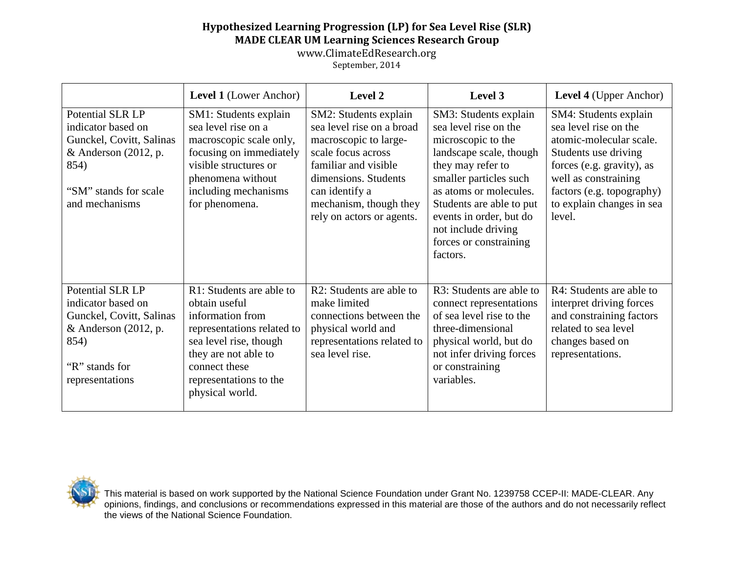## **Hypothesized Learning Progression (LP) for Sea Level Rise (SLR) MADE CLEAR UM Learning Sciences Research Group**

www.ClimateEdResearch.org

September, 2014

|                                                                                                                                                 | <b>Level 1</b> (Lower Anchor)                                                                                                                                                                               | Level 2                                                                                                                                                                                                                    | Level 3                                                                                                                                                                                                                                                                                      | <b>Level 4</b> (Upper Anchor)                                                                                                                                                                                              |
|-------------------------------------------------------------------------------------------------------------------------------------------------|-------------------------------------------------------------------------------------------------------------------------------------------------------------------------------------------------------------|----------------------------------------------------------------------------------------------------------------------------------------------------------------------------------------------------------------------------|----------------------------------------------------------------------------------------------------------------------------------------------------------------------------------------------------------------------------------------------------------------------------------------------|----------------------------------------------------------------------------------------------------------------------------------------------------------------------------------------------------------------------------|
| Potential SLR LP<br>indicator based on<br>Gunckel, Covitt, Salinas<br>& Anderson $(2012, p.$<br>854)<br>"SM" stands for scale<br>and mechanisms | SM1: Students explain<br>sea level rise on a<br>macroscopic scale only,<br>focusing on immediately<br>visible structures or<br>phenomena without<br>including mechanisms<br>for phenomena.                  | SM2: Students explain<br>sea level rise on a broad<br>macroscopic to large-<br>scale focus across<br>familiar and visible<br>dimensions. Students<br>can identify a<br>mechanism, though they<br>rely on actors or agents. | SM3: Students explain<br>sea level rise on the<br>microscopic to the<br>landscape scale, though<br>they may refer to<br>smaller particles such<br>as atoms or molecules.<br>Students are able to put<br>events in order, but do<br>not include driving<br>forces or constraining<br>factors. | SM4: Students explain<br>sea level rise on the<br>atomic-molecular scale.<br>Students use driving<br>forces (e.g. gravity), as<br>well as constraining<br>factors (e.g. topography)<br>to explain changes in sea<br>level. |
| Potential SLR LP<br>indicator based on<br>Gunckel, Covitt, Salinas<br>& Anderson $(2012, p.$<br>854)<br>"R" stands for<br>representations       | R1: Students are able to<br>obtain useful<br>information from<br>representations related to<br>sea level rise, though<br>they are not able to<br>connect these<br>representations to the<br>physical world. | R2: Students are able to<br>make limited<br>connections between the<br>physical world and<br>representations related to<br>sea level rise.                                                                                 | R3: Students are able to<br>connect representations<br>of sea level rise to the<br>three-dimensional<br>physical world, but do<br>not infer driving forces<br>or constraining<br>variables.                                                                                                  | R4: Students are able to<br>interpret driving forces<br>and constraining factors<br>related to sea level<br>changes based on<br>representations.                                                                           |



This material is based on work supported by the National Science Foundation under Grant No. 1239758 CCEP-II: MADE-CLEAR. Any opinions, findings, and conclusions or recommendations expressed in this material are those of the authors and do not necessarily reflect the views of the National Science Foundation.